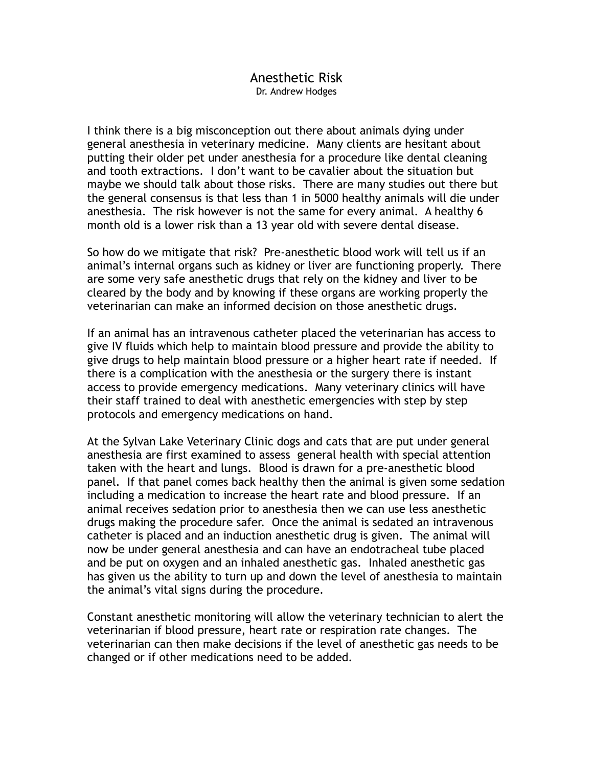## Anesthetic Risk Dr. Andrew Hodges

I think there is a big misconception out there about animals dying under general anesthesia in veterinary medicine. Many clients are hesitant about putting their older pet under anesthesia for a procedure like dental cleaning and tooth extractions. I don't want to be cavalier about the situation but maybe we should talk about those risks. There are many studies out there but the general consensus is that less than 1 in 5000 healthy animals will die under anesthesia. The risk however is not the same for every animal. A healthy 6 month old is a lower risk than a 13 year old with severe dental disease.

So how do we mitigate that risk? Pre-anesthetic blood work will tell us if an animal's internal organs such as kidney or liver are functioning properly. There are some very safe anesthetic drugs that rely on the kidney and liver to be cleared by the body and by knowing if these organs are working properly the veterinarian can make an informed decision on those anesthetic drugs.

If an animal has an intravenous catheter placed the veterinarian has access to give IV fluids which help to maintain blood pressure and provide the ability to give drugs to help maintain blood pressure or a higher heart rate if needed. If there is a complication with the anesthesia or the surgery there is instant access to provide emergency medications. Many veterinary clinics will have their staff trained to deal with anesthetic emergencies with step by step protocols and emergency medications on hand.

At the Sylvan Lake Veterinary Clinic dogs and cats that are put under general anesthesia are first examined to assess general health with special attention taken with the heart and lungs. Blood is drawn for a pre-anesthetic blood panel. If that panel comes back healthy then the animal is given some sedation including a medication to increase the heart rate and blood pressure. If an animal receives sedation prior to anesthesia then we can use less anesthetic drugs making the procedure safer. Once the animal is sedated an intravenous catheter is placed and an induction anesthetic drug is given. The animal will now be under general anesthesia and can have an endotracheal tube placed and be put on oxygen and an inhaled anesthetic gas. Inhaled anesthetic gas has given us the ability to turn up and down the level of anesthesia to maintain the animal's vital signs during the procedure.

Constant anesthetic monitoring will allow the veterinary technician to alert the veterinarian if blood pressure, heart rate or respiration rate changes. The veterinarian can then make decisions if the level of anesthetic gas needs to be changed or if other medications need to be added.